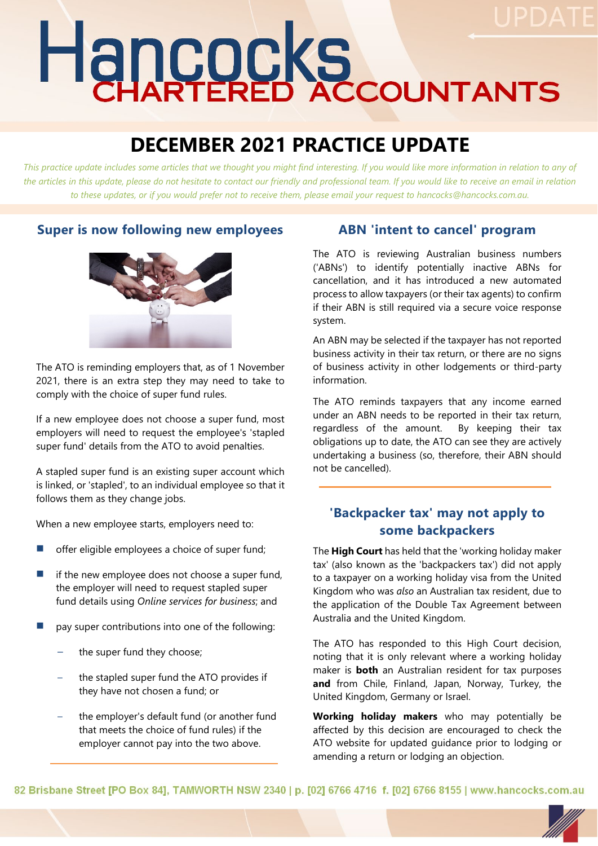# Hancocks

# **DECEMBER 2021 PRACTICE UPDATE**

*This practice update includes some articles that we thought you might find interesting. If you would like more information in relation to any of*  the articles in this update, please do not hesitate to contact our friendly and professional team. If you would like to receive an email in relation *to these updates, or if you would prefer not to receive them, please email your request to hancocks@hancocks.com.au.* 

#### **Super is now following new employees**



The ATO is reminding employers that, as of 1 November 2021, there is an extra step they may need to take to comply with the choice of super fund rules.

If a new employee does not choose a super fund, most employers will need to request the employee's 'stapled super fund' details from the ATO to avoid penalties.

A stapled super fund is an existing super account which is linked, or 'stapled', to an individual employee so that it follows them as they change jobs.

When a new employee starts, employers need to:

- offer eligible employees a choice of super fund;
- if the new employee does not choose a super fund, the employer will need to request stapled super fund details using *Online services for business*; and
- pay super contributions into one of the following:
	- the super fund they choose;
	- the stapled super fund the ATO provides if they have not chosen a fund; or
	- the employer's default fund (or another fund that meets the choice of fund rules) if the employer cannot pay into the two above.

#### **ABN 'intent to cancel' program**

The ATO is reviewing Australian business numbers ('ABNs') to identify potentially inactive ABNs for cancellation, and it has introduced a new automated process to allow taxpayers (or their tax agents) to confirm if their ABN is still required via a secure voice response system.

An ABN may be selected if the taxpayer has not reported business activity in their tax return, or there are no signs of business activity in other lodgements or third-party information.

The ATO reminds taxpayers that any income earned under an ABN needs to be reported in their tax return, regardless of the amount. By keeping their tax obligations up to date, the ATO can see they are actively undertaking a business (so, therefore, their ABN should not be cancelled).

### **'Backpacker tax' may not apply to some backpackers**

The **High Court** has held that the 'working holiday maker tax' (also known as the 'backpackers tax') did not apply to a taxpayer on a working holiday visa from the United Kingdom who was *also* an Australian tax resident, due to the application of the Double Tax Agreement between Australia and the United Kingdom.

The ATO has responded to this High Court decision, noting that it is only relevant where a working holiday maker is **both** an Australian resident for tax purposes **and** from Chile, Finland, Japan, Norway, Turkey, the United Kingdom, Germany or Israel.

**Working holiday makers** who may potentially be affected by this decision are encouraged to check the ATO website for updated guidance prior to lodging or amending a return or lodging an objection.

82 Brisbane Street [PO Box 84], TAMWORTH NSW 2340 | p. [02] 6766 4716 f. [02] 6766 8155 | www.hancocks.com.au